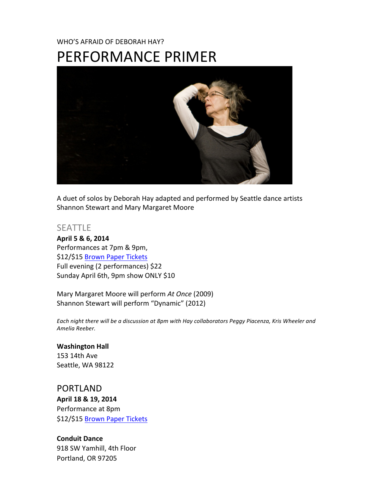# WHO'S AFRAID OF DEBORAH HAY? PERFORMANCE PRIMER



A duet of solos by Deborah Hay adapted and performed by Seattle dance artists Shannon Stewart and Mary Margaret Moore

#### SEATTLE

April 5 & 6, 2014 Performances at 7pm & 9pm, \$12/\$15 Brown Paper Tickets Full evening (2 performances) \$22 Sunday April 6th, 9pm show ONLY \$10

Mary Margaret Moore will perform At Once (2009) Shannon Stewart will perform "Dynamic" (2012)

Each night there will be a discussion at 8pm with Hay collaborators Peggy Piacenza, Kris Wheeler and *Amelia#Reeber.*

**Washington Hall** 153 14th Ave Seattle, WA 98122

PORTLAND April 18 & 19, 2014 Performance at 8pm \$12/\$15 Brown Paper Tickets

**Conduit Dance** 918 SW Yamhill, 4th Floor Portland, OR 97205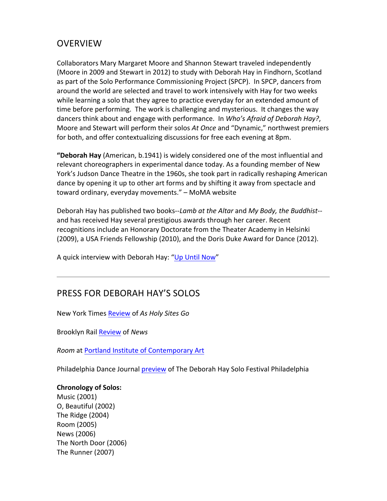## **OVERVIEW**

Collaborators Mary Margaret Moore and Shannon Stewart traveled independently (Moore in 2009 and Stewart in 2012) to study with Deborah Hay in Findhorn, Scotland as part of the Solo Performance Commissioning Project (SPCP). In SPCP, dancers from around the world are selected and travel to work intensively with Hay for two weeks while learning a solo that they agree to practice everyday for an extended amount of time before performing. The work is challenging and mysterious. It changes the way dancers think about and engage with performance. In Who's Afraid of Deborah Hay?, Moore and Stewart will perform their solos At Once and "Dynamic," northwest premiers for both, and offer contextualizing discussions for free each evening at 8pm.

**"Deborah Hay** (American, b.1941) is widely considered one of the most influential and relevant choreographers in experimental dance today. As a founding member of New York's Judson Dance Theatre in the 1960s, she took part in radically reshaping American dance by opening it up to other art forms and by shifting it away from spectacle and toward ordinary, everyday movements." - MoMA website

Deborah Hay has published two books--Lamb at the Altar and My Body, the Buddhist-and has received Hay several prestigious awards through her career. Recent recognitions include an Honorary Doctorate from the Theater Academy in Helsinki (2009), a USA Friends Fellowship (2010), and the Doris Duke Award for Dance (2012).

A quick interview with Deborah Hay: "Up Until Now"

## PRESS FOR DEBORAH HAY'S SOLOS

New York Times Review of As Holy Sites Go

Brooklyn&Rail&Review of&*News*

**Room at Portland Institute of Contemporary Art** 

Philadelphia Dance Journal preview of The Deborah Hay Solo Festival Philadelphia

#### **Chronology of Solos:**

Music (2001) O, Beautiful (2002) The Ridge  $(2004)$ Room (2005) News (2006) The North Door (2006) The Runner (2007)